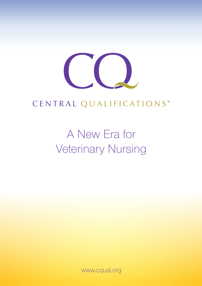

## CENTRAL QUALIFICATIONS<sup>™</sup>

# A New Era for Veterinary Nursing

www.cqual.org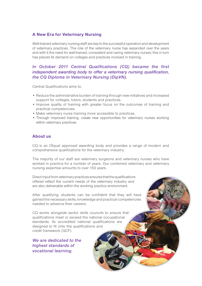#### **A New Era for Veterinary Nursing**

Well-trained veterinary nursing staff are key to the successful operation and development of veterinary practices. The role of the veterinary nurse has expanded over the years and with it the need for well-trained, competent and caring veterinary nurses; this in turn has placed its demand on colleges and practices involved in training.

#### *In October 2011 Central Qualifications (CQ) became the first independent awarding body to offer a veterinary nursing qualification, the CQ Diploma in Veterinary Nursing (DipVN).*

Central Qualifications aims to:

- Reduce the administrative burden of training through new initiatives and increased support for colleges, tutors, students and practices.
- Improve quality of training with greater focus on the outcomes of training and practical competencies.
- Make veterinary nurse training more accessible to practices.
- Through improved training, create new opportunities for veterinary nurses working within veterinary practices.

#### **About us**

CQ is an Ofqual approved awarding body and provides a range of modern and comprehensive qualifications for the veterinary industry.

The majority of our staff are veterinary surgeons and veterinary nurses who have worked in practice for a number of years. Our combined veterinary and veterinary nursing expertise amounts to over 150 years.

Direct input from veterinary practices ensures that the qualifications offered reflect the current needs of the veterinary industry and are also deliverable within the working practice environment.

After qualifying, students can be confident that they will have gained the necessary skills, knowledge and practical competencies needed to advance their careers.

CQ works alongside sector skills councils to ensure that qualifications meet or exceed the national occupational standards. Its accredited national qualifications are designed to fit onto the qualifications and credit framework (QCF).

*We are dedicated to the highest standards of vocational learning.*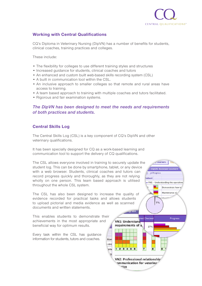

#### **Working with Central Qualifications**

CQ's Diploma in Veterinary Nursing (DipVN) has a number of benefits for students, clinical coaches, training practices and colleges.

These include:

- The flexibility for colleges to use different training styles and structures
- Increased guidance for students, clinical coaches and tutors
- An enhanced and custom built web-based skills recording system (CSL)
- A built in communication tool within the CSL.
- An inclusive approach to smaller colleges so that remote and rural areas have access to training.
- A team based approach to training with multiple coaches and tutors facilitated.
- Rigorous and fair examination systems.

#### *The DipVN has been designed to meet the needs and requirements of both practices and students.*

#### **Central Skills Log**

The Central Skills Log (CSL) is a key component of CQ's DipVN and other veterinary qualifications.

It has been specially designed for CQ as a work-based learning and communication tool to support the delivery of CQ qualifications.

The CSL allows everyone involved in training to securely update the student log. This can be done by smartphone, tablet, or any device with a web browser. Students, clinical coaches and tutors can record progress quickly and thoroughly, as they are not relying wholly on one person. This team based approach is utilised throughout the whole CSL system.

The CSL has also been designed to increase the quality of evidence recorded for practical tasks and allows students to upload pictorial and media evidence as well as scanned documents and written statements.

This enables students to demonstrate their achievements in the most appropriate and beneficial way for optimum results.

Every task within the CSL has guidance information for students, tutors and coaches.